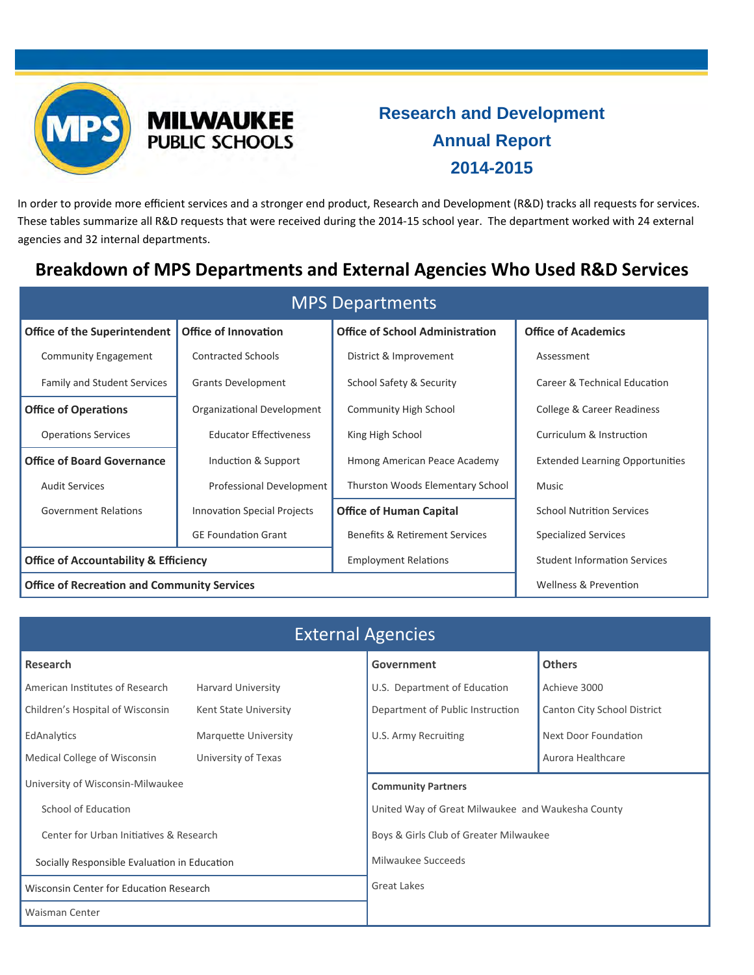

## **Research and Development Annual Report 2014-2015**

In order to provide more efficient services and a stronger end product, Research and Development (R&D) tracks all requests for services. These tables summarize all R&D requests that were received during the 2014‐15 school year. The department worked with 24 external agencies and 32 internal departments.

## **Breakdown of MPS Departments and External Agencies Who Used R&D Services**

| <b>MPS Departments</b>                             |                                    |                                                                    |                                        |  |  |
|----------------------------------------------------|------------------------------------|--------------------------------------------------------------------|----------------------------------------|--|--|
| <b>Office of the Superintendent</b>                | <b>Office of Innovation</b>        | <b>Office of School Administration</b>                             | <b>Office of Academics</b>             |  |  |
| Community Engagement                               | <b>Contracted Schools</b>          | District & Improvement                                             | Assessment                             |  |  |
| <b>Family and Student Services</b>                 | <b>Grants Development</b>          | School Safety & Security                                           | Career & Technical Education           |  |  |
| <b>Office of Operations</b>                        | Organizational Development         | Community High School                                              | College & Career Readiness             |  |  |
| <b>Operations Services</b>                         | <b>Educator Effectiveness</b>      | King High School                                                   | Curriculum & Instruction               |  |  |
| <b>Office of Board Governance</b>                  | Induction & Support                | Hmong American Peace Academy                                       | <b>Extended Learning Opportunities</b> |  |  |
| <b>Audit Services</b>                              | Professional Development           | Thurston Woods Elementary School<br>Music                          |                                        |  |  |
| <b>Government Relations</b>                        | <b>Innovation Special Projects</b> | <b>Office of Human Capital</b><br><b>School Nutrition Services</b> |                                        |  |  |
|                                                    | <b>GE Foundation Grant</b>         | <b>Benefits &amp; Retirement Services</b>                          | <b>Specialized Services</b>            |  |  |
| <b>Office of Accountability &amp; Efficiency</b>   |                                    | <b>Employment Relations</b>                                        | <b>Student Information Services</b>    |  |  |
| <b>Office of Recreation and Community Services</b> |                                    |                                                                    | Wellness & Prevention                  |  |  |

| <b>External Agencies</b>                     |                           |                                                   |                             |  |  |
|----------------------------------------------|---------------------------|---------------------------------------------------|-----------------------------|--|--|
| <b>Research</b>                              |                           | Government                                        | <b>Others</b>               |  |  |
| American Institutes of Research              | <b>Harvard University</b> | U.S. Department of Education                      | Achieve 3000                |  |  |
| Children's Hospital of Wisconsin             | Kent State University     | Department of Public Instruction                  | Canton City School District |  |  |
| EdAnalytics                                  | Marquette University      | U.S. Army Recruiting                              | Next Door Foundation        |  |  |
| Medical College of Wisconsin                 | University of Texas       |                                                   | Aurora Healthcare           |  |  |
| University of Wisconsin-Milwaukee            |                           | <b>Community Partners</b>                         |                             |  |  |
| School of Education                          |                           | United Way of Great Milwaukee and Waukesha County |                             |  |  |
| Center for Urban Initiatives & Research      |                           | Boys & Girls Club of Greater Milwaukee            |                             |  |  |
| Socially Responsible Evaluation in Education |                           | Milwaukee Succeeds                                |                             |  |  |
| Wisconsin Center for Education Research      |                           | <b>Great Lakes</b>                                |                             |  |  |
| <b>Waisman Center</b>                        |                           |                                                   |                             |  |  |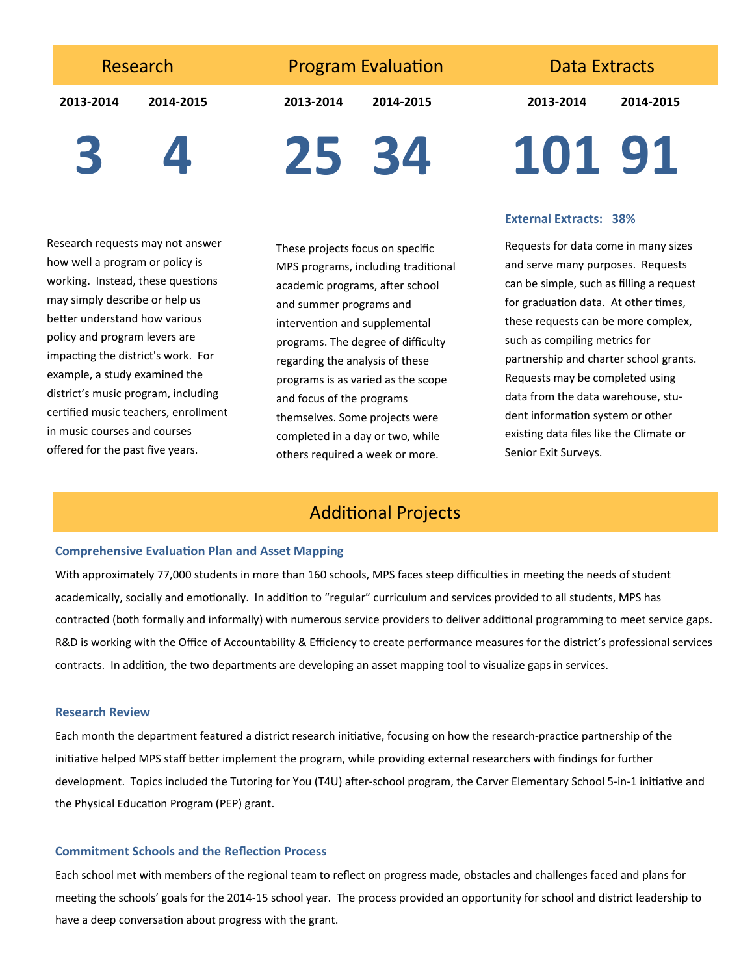Research

**Program Evaluation** 

**2013‐2014 2014‐2015**

**2013‐2014 2014‐2015**

Data Extracts

**2013‐2014 2014‐2015**

**3 4**

**25 34**

Research requests may not answer how well a program or policy is working. Instead, these questions may simply describe or help us better understand how various policy and program levers are impacting the district's work. For example, a study examined the district's music program, including certified music teachers, enrollment in music courses and courses offered for the past five years.

These projects focus on specific MPS programs, including traditional academic programs, after school and summer programs and intervention and supplemental programs. The degree of difficulty regarding the analysis of these programs is as varied as the scope and focus of the programs themselves. Some projects were completed in a day or two, while others required a week or more.

# **101 91**

#### **External Extracts: 38%**

Requests for data come in many sizes and serve many purposes. Requests can be simple, such as filling a request for graduation data. At other times, these requests can be more complex, such as compiling metrics for partnership and charter school grants. Requests may be completed using data from the data warehouse, stu‐ dent information system or other existing data files like the Climate or Senior Exit Surveys.

## **Additional Projects**

#### **Comprehensive EvaluaƟon Plan and Asset Mapping**

With approximately 77,000 students in more than 160 schools, MPS faces steep difficulties in meeting the needs of student academically, socially and emotionally. In addition to "regular" curriculum and services provided to all students, MPS has contracted (both formally and informally) with numerous service providers to deliver additional programming to meet service gaps. R&D is working with the Office of Accountability & Efficiency to create performance measures for the district's professional services contracts. In addition, the two departments are developing an asset mapping tool to visualize gaps in services.

#### **Research Review**

Each month the department featured a district research initiative, focusing on how the research-practice partnership of the initiative helped MPS staff better implement the program, while providing external researchers with findings for further development. Topics included the Tutoring for You (T4U) after-school program, the Carver Elementary School 5-in-1 initiative and the Physical Education Program (PEP) grant.

#### **Commitment Schools and the ReflecƟon Process**

Each school met with members of the regional team to reflect on progress made, obstacles and challenges faced and plans for meeting the schools' goals for the 2014-15 school year. The process provided an opportunity for school and district leadership to have a deep conversation about progress with the grant.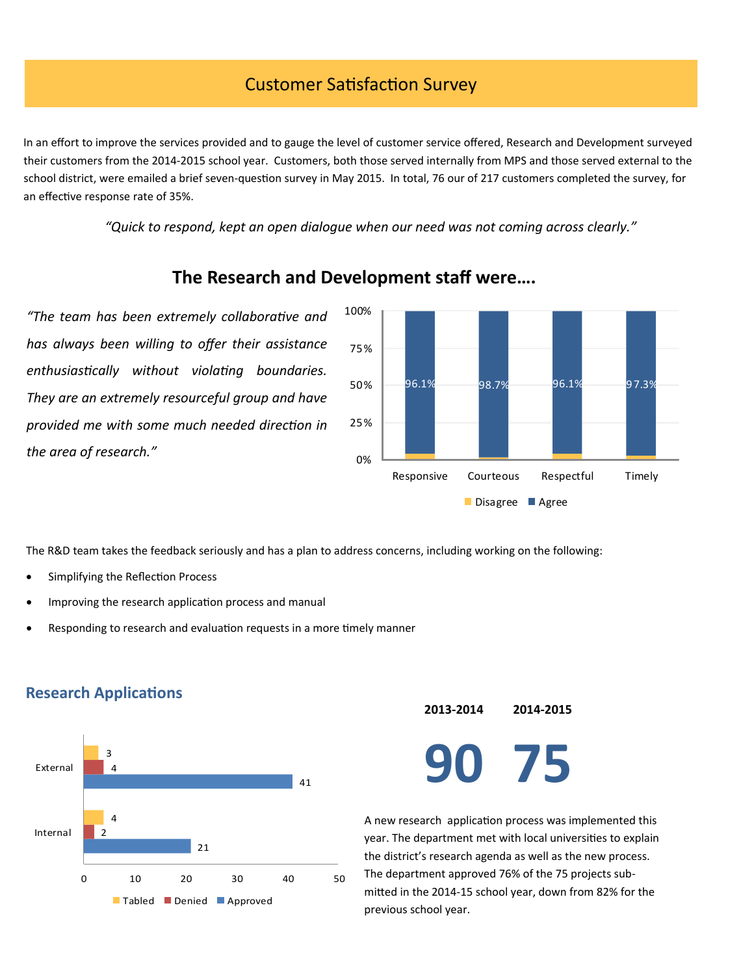## **Customer Satisfaction Survey**

In an effort to improve the services provided and to gauge the level of customer service offered, Research and Development surveyed their customers from the 2014‐2015 school year. Customers, both those served internally from MPS and those served external to the school district, were emailed a brief seven-question survey in May 2015. In total, 76 our of 217 customers completed the survey, for an effective response rate of 35%.

*"Quick to respond, kept an open dialogue when our need was not coming across clearly."* 



### **The Research and Development staff were….**

The R&D team takes the feedback seriously and has a plan to address concerns, including working on the following:

Simplifying the Reflection Process

*the area of research."* 

Improving the research application process and manual

*"The team has been extremely collaboraƟve and* 

*has always been willing to offer their assistance* 

*enthusiasƟcally without violaƟng boundaries.* 

*They are an extremely resourceful group and have* 

*provided me with some much needed direction in* 

Responding to research and evaluation requests in a more timely manner



#### **Research Applications**

**2013‐2014 2014‐2015 90 75**

A new research application process was implemented this year. The department met with local universities to explain the district's research agenda as well as the new process. The department approved 76% of the 75 projects sub‐ mitted in the 2014-15 school year, down from 82% for the previous school year.